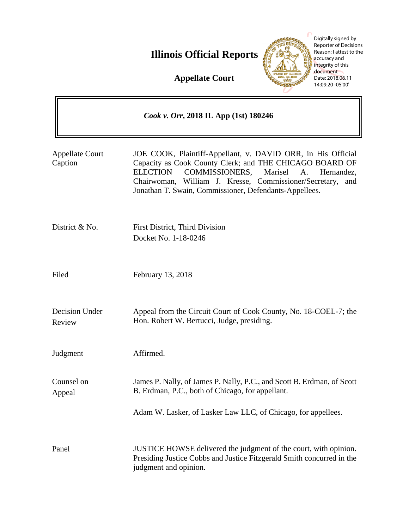# **Illinois Official Reports**



Digitally signed by Reporter of Decisions Reason: I attest to the accuracy and integrity of this document Date: 2018.06.11 14:09:20 -05'00'

**Appellate Court**

| Cook v. Orr, 2018 IL App (1st) 180246 |                                                                                                                                                                                                                                                                                                                        |
|---------------------------------------|------------------------------------------------------------------------------------------------------------------------------------------------------------------------------------------------------------------------------------------------------------------------------------------------------------------------|
| <b>Appellate Court</b><br>Caption     | JOE COOK, Plaintiff-Appellant, v. DAVID ORR, in His Official<br>Capacity as Cook County Clerk; and THE CHICAGO BOARD OF<br>COMMISSIONERS,<br>Marisel<br><b>ELECTION</b><br>A.<br>Hernandez,<br>Chairwoman, William J. Kresse, Commissioner/Secretary,<br>and<br>Jonathan T. Swain, Commissioner, Defendants-Appellees. |
| District & No.                        | First District, Third Division<br>Docket No. 1-18-0246                                                                                                                                                                                                                                                                 |
| Filed                                 | February 13, 2018                                                                                                                                                                                                                                                                                                      |
| Decision Under<br>Review              | Appeal from the Circuit Court of Cook County, No. 18-COEL-7; the<br>Hon. Robert W. Bertucci, Judge, presiding.                                                                                                                                                                                                         |
| Judgment                              | Affirmed.                                                                                                                                                                                                                                                                                                              |
| Counsel on<br>Appeal                  | James P. Nally, of James P. Nally, P.C., and Scott B. Erdman, of Scott<br>B. Erdman, P.C., both of Chicago, for appellant.                                                                                                                                                                                             |
|                                       | Adam W. Lasker, of Lasker Law LLC, of Chicago, for appellees.                                                                                                                                                                                                                                                          |
| Panel                                 | JUSTICE HOWSE delivered the judgment of the court, with opinion.<br>Presiding Justice Cobbs and Justice Fitzgerald Smith concurred in the<br>judgment and opinion.                                                                                                                                                     |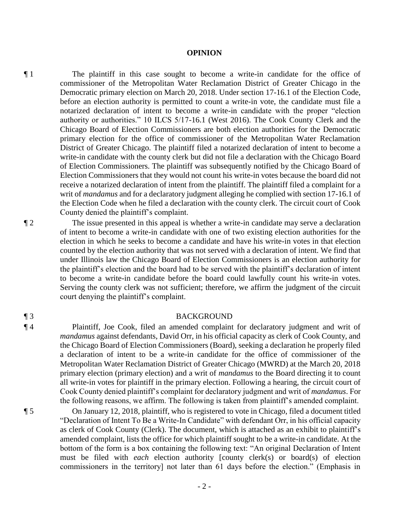### **OPINION**

¶ 1 The plaintiff in this case sought to become a write-in candidate for the office of commissioner of the Metropolitan Water Reclamation District of Greater Chicago in the Democratic primary election on March 20, 2018. Under section 17-16.1 of the Election Code, before an election authority is permitted to count a write-in vote, the candidate must file a notarized declaration of intent to become a write-in candidate with the proper "election authority or authorities." 10 ILCS 5/17-16.1 (West 2016). The Cook County Clerk and the Chicago Board of Election Commissioners are both election authorities for the Democratic primary election for the office of commissioner of the Metropolitan Water Reclamation District of Greater Chicago. The plaintiff filed a notarized declaration of intent to become a write-in candidate with the county clerk but did not file a declaration with the Chicago Board of Election Commissioners. The plaintiff was subsequently notified by the Chicago Board of Election Commissioners that they would not count his write-in votes because the board did not receive a notarized declaration of intent from the plaintiff. The plaintiff filed a complaint for a writ of *mandamus* and for a declaratory judgment alleging he complied with section 17-16.1 of the Election Code when he filed a declaration with the county clerk. The circuit court of Cook County denied the plaintiff's complaint.

¶ 2 The issue presented in this appeal is whether a write-in candidate may serve a declaration of intent to become a write-in candidate with one of two existing election authorities for the election in which he seeks to become a candidate and have his write-in votes in that election counted by the election authority that was not served with a declaration of intent. We find that under Illinois law the Chicago Board of Election Commissioners is an election authority for the plaintiff's election and the board had to be served with the plaintiff's declaration of intent to become a write-in candidate before the board could lawfully count his write-in votes. Serving the county clerk was not sufficient; therefore, we affirm the judgment of the circuit court denying the plaintiff's complaint.

## ¶ 3 BACKGROUND

¶ 4 Plaintiff, Joe Cook, filed an amended complaint for declaratory judgment and writ of *mandamus* against defendants, David Orr, in his official capacity as clerk of Cook County, and the Chicago Board of Election Commissioners (Board), seeking a declaration he properly filed a declaration of intent to be a write-in candidate for the office of commissioner of the Metropolitan Water Reclamation District of Greater Chicago (MWRD) at the March 20, 2018 primary election (primary election) and a writ of *mandamus* to the Board directing it to count all write-in votes for plaintiff in the primary election. Following a hearing, the circuit court of Cook County denied plaintiff's complaint for declaratory judgment and writ of *mandamus*. For the following reasons, we affirm. The following is taken from plaintiff's amended complaint.

¶ 5 On January 12, 2018, plaintiff, who is registered to vote in Chicago, filed a document titled "Declaration of Intent To Be a Write-In Candidate" with defendant Orr, in his official capacity as clerk of Cook County (Clerk). The document, which is attached as an exhibit to plaintiff's amended complaint, lists the office for which plaintiff sought to be a write-in candidate. At the bottom of the form is a box containing the following text: "An original Declaration of Intent must be filed with *each* election authority [county clerk(s) or board(s) of election commissioners in the territory] not later than 61 days before the election." (Emphasis in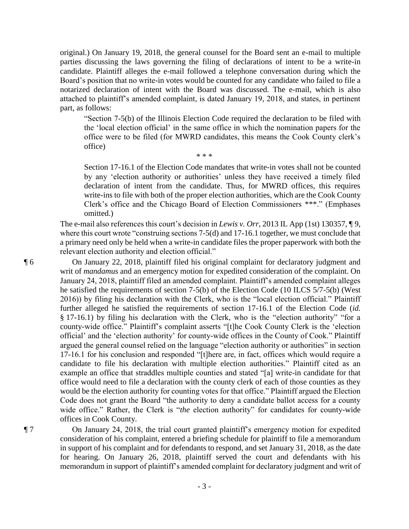original.) On January 19, 2018, the general counsel for the Board sent an e-mail to multiple parties discussing the laws governing the filing of declarations of intent to be a write-in candidate. Plaintiff alleges the e-mail followed a telephone conversation during which the Board's position that no write-in votes would be counted for any candidate who failed to file a notarized declaration of intent with the Board was discussed. The e-mail, which is also attached to plaintiff's amended complaint, is dated January 19, 2018, and states, in pertinent part, as follows:

 $* * *$ 

"Section 7-5(b) of the Illinois Election Code required the declaration to be filed with the 'local election official' in the same office in which the nomination papers for the office were to be filed (for MWRD candidates, this means the Cook County clerk's office)

Section 17-16.1 of the Election Code mandates that write-in votes shall not be counted by any 'election authority or authorities' unless they have received a timely filed declaration of intent from the candidate. Thus, for MWRD offices, this requires write-ins to file with both of the proper election authorities, which are the Cook County Clerk's office and the Chicago Board of Election Commissioners \*\*\*." (Emphases omitted.)

The e-mail also references this court's decision in *Lewis v. Orr*, 2013 IL App (1st) 130357, ¶ 9, where this court wrote "construing sections 7-5(d) and 17-16.1 together, we must conclude that a primary need only be held when a write-in candidate files the proper paperwork with both the relevant election authority and election official."

¶ 6 On January 22, 2018, plaintiff filed his original complaint for declaratory judgment and writ of *mandamus* and an emergency motion for expedited consideration of the complaint. On January 24, 2018, plaintiff filed an amended complaint. Plaintiff's amended complaint alleges he satisfied the requirements of section 7-5(b) of the Election Code (10 ILCS 5/7-5(b) (West 2016)) by filing his declaration with the Clerk, who is the "local election official." Plaintiff further alleged he satisfied the requirements of section 17-16.1 of the Election Code (*id.* § 17-16.1) by filing his declaration with the Clerk, who is the "election authority" "for a county-wide office." Plaintiff's complaint asserts "[t]he Cook County Clerk is the 'election official' and the 'election authority' for county-wide offices in the County of Cook." Plaintiff argued the general counsel relied on the language "election authority or authorities" in section 17-16.1 for his conclusion and responded "[t]here are, in fact, offices which would require a candidate to file his declaration with multiple election authorities." Plaintiff cited as an example an office that straddles multiple counties and stated "[a] write-in candidate for that office would need to file a declaration with the county clerk of each of those counties as they would be the election authority for counting votes for that office." Plaintiff argued the Election Code does not grant the Board "the authority to deny a candidate ballot access for a county wide office." Rather, the Clerk is "*the* election authority" for candidates for county-wide offices in Cook County.

¶ 7 On January 24, 2018, the trial court granted plaintiff's emergency motion for expedited consideration of his complaint, entered a briefing schedule for plaintiff to file a memorandum in support of his complaint and for defendants to respond, and set January 31, 2018, as the date for hearing. On January 26, 2018, plaintiff served the court and defendants with his memorandum in support of plaintiff's amended complaint for declaratory judgment and writ of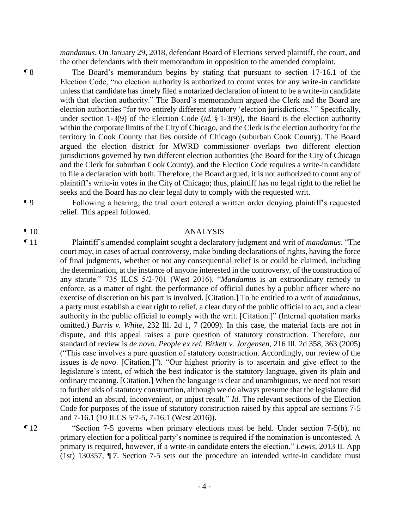*mandamus*. On January 29, 2018, defendant Board of Elections served plaintiff, the court, and the other defendants with their memorandum in opposition to the amended complaint.

¶ 8 The Board's memorandum begins by stating that pursuant to section 17-16.1 of the Election Code, "no election authority is authorized to count votes for any write-in candidate unless that candidate has timely filed a notarized declaration of intent to be a write-in candidate with that election authority." The Board's memorandum argued the Clerk and the Board are election authorities "for two entirely different statutory 'election jurisdictions.' " Specifically, under section 1-3(9) of the Election Code (*id.* § 1-3(9)), the Board is the election authority within the corporate limits of the City of Chicago, and the Clerk is the election authority for the territory in Cook County that lies outside of Chicago (suburban Cook County). The Board argued the election district for MWRD commissioner overlaps two different election jurisdictions governed by two different election authorities (the Board for the City of Chicago and the Clerk for suburban Cook County), and the Election Code requires a write-in candidate to file a declaration with both. Therefore, the Board argued, it is not authorized to count any of plaintiff's write-in votes in the City of Chicago; thus, plaintiff has no legal right to the relief he seeks and the Board has no clear legal duty to comply with the requested writ.

¶ 9 Following a hearing, the trial court entered a written order denying plaintiff's requested relief. This appeal followed.

### ¶ 10 ANALYSIS

¶ 11 Plaintiff's amended complaint sought a declaratory judgment and writ of *mandamus*. "The court may, in cases of actual controversy, make binding declarations of rights, having the force of final judgments, whether or not any consequential relief is or could be claimed, including the determination, at the instance of anyone interested in the controversy, of the construction of any statute." 735 ILCS 5/2-701 (West 2016). "*Mandamus* is an extraordinary remedy to enforce, as a matter of right, the performance of official duties by a public officer where no exercise of discretion on his part is involved. [Citation.] To be entitled to a writ of *mandamus*, a party must establish a clear right to relief, a clear duty of the public official to act, and a clear authority in the public official to comply with the writ. [Citation.]" (Internal quotation marks omitted.) *Burris v. White*, 232 Ill. 2d 1, 7 (2009). In this case, the material facts are not in dispute, and this appeal raises a pure question of statutory construction. Therefore, our standard of review is *de novo*. *People ex rel. Birkett v. Jorgensen*, 216 Ill. 2d 358, 363 (2005) ("This case involves a pure question of statutory construction. Accordingly, our review of the issues is *de novo*. [Citation.]"). "Our highest priority is to ascertain and give effect to the legislature's intent, of which the best indicator is the statutory language, given its plain and ordinary meaning. [Citation.] When the language is clear and unambiguous, we need not resort to further aids of statutory construction, although we do always presume that the legislature did not intend an absurd, inconvenient, or unjust result." *Id.* The relevant sections of the Election Code for purposes of the issue of statutory construction raised by this appeal are sections 7-5 and 7-16.1 (10 ILCS 5/7-5, 7-16.1 (West 2016)).

¶ 12 "Section 7-5 governs when primary elections must be held. Under section 7-5(b), no primary election for a political party's nominee is required if the nomination is uncontested. A primary is required, however, if a write-in candidate enters the election." *Lewis*, 2013 IL App (1st) 130357, ¶ 7. Section 7-5 sets out the procedure an intended write-in candidate must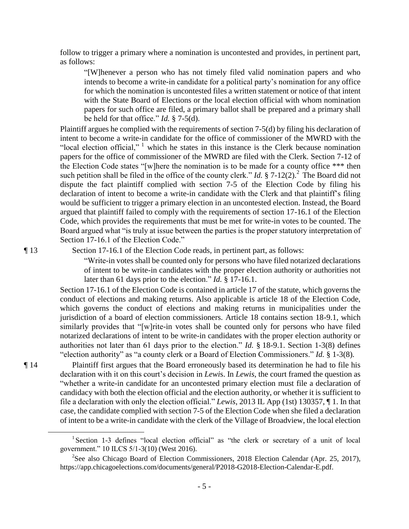follow to trigger a primary where a nomination is uncontested and provides, in pertinent part, as follows:

"[W]henever a person who has not timely filed valid nomination papers and who intends to become a write-in candidate for a political party's nomination for any office for which the nomination is uncontested files a written statement or notice of that intent with the State Board of Elections or the local election official with whom nomination papers for such office are filed, a primary ballot shall be prepared and a primary shall be held for that office." *Id.* § 7-5(d).

Plaintiff argues he complied with the requirements of section 7-5(d) by filing his declaration of intent to become a write-in candidate for the office of commissioner of the MWRD with the "local election official,"  $1$  which he states in this instance is the Clerk because nomination papers for the office of commissioner of the MWRD are filed with the Clerk. Section 7-12 of the Election Code states "[w]here the nomination is to be made for a county office \*\*\* then such petition shall be filed in the office of the county clerk." *Id.* § 7-12(2).<sup>2</sup> The Board did not dispute the fact plaintiff complied with section 7-5 of the Election Code by filing his declaration of intent to become a write-in candidate with the Clerk and that plaintiff's filing would be sufficient to trigger a primary election in an uncontested election. Instead, the Board argued that plaintiff failed to comply with the requirements of section 17-16.1 of the Election Code, which provides the requirements that must be met for write-in votes to be counted. The Board argued what "is truly at issue between the parties is the proper statutory interpretation of Section 17-16.1 of the Election Code."

 $\overline{a}$ 

¶ 13 Section 17-16.1 of the Election Code reads, in pertinent part, as follows:

"Write-in votes shall be counted only for persons who have filed notarized declarations of intent to be write-in candidates with the proper election authority or authorities not later than 61 days prior to the election." *Id.* § 17-16.1.

Section 17-16.1 of the Election Code is contained in article 17 of the statute, which governs the conduct of elections and making returns. Also applicable is article 18 of the Election Code, which governs the conduct of elections and making returns in municipalities under the jurisdiction of a board of election commissioners. Article 18 contains section 18-9.1, which similarly provides that "[w]rite-in votes shall be counted only for persons who have filed notarized declarations of intent to be write-in candidates with the proper election authority or authorities not later than 61 days prior to the election." *Id.* § 18-9.1. Section 1-3(8) defines "election authority" as "a county clerk or a Board of Election Commissioners." *Id.* § 1-3(8).

¶ 14 Plaintiff first argues that the Board erroneously based its determination he had to file his declaration with it on this court's decision in *Lewi*s. In *Lewis*, the court framed the question as "whether a write-in candidate for an uncontested primary election must file a declaration of candidacy with both the election official and the election authority, or whether it is sufficient to file a declaration with only the election official." *Lewis*, 2013 IL App (1st) 130357, ¶ 1. In that case, the candidate complied with section 7-5 of the Election Code when she filed a declaration of intent to be a write-in candidate with the clerk of the Village of Broadview, the local election

<sup>&</sup>lt;sup>1</sup> Section 1-3 defines "local election official" as "the clerk or secretary of a unit of local government." 10 ILCS 5/1-3(10) (West 2016).

<sup>&</sup>lt;sup>2</sup>See also Chicago Board of Election Commissioners, 2018 Election Calendar (Apr. 25, 2017), https://app.chicagoelections.com/documents/general/P2018-G2018-Election-Calendar-E.pdf.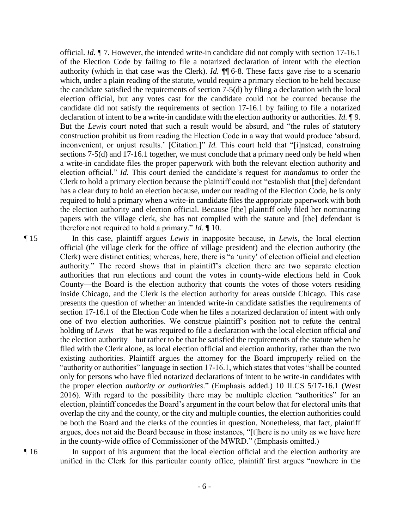official. *Id. ¶* 7. However, the intended write-in candidate did not comply with section 17-16.1 of the Election Code by failing to file a notarized declaration of intent with the election authority (which in that case was the Clerk). *Id.* ¶¶ 6-8. These facts gave rise to a scenario which, under a plain reading of the statute, would require a primary election to be held because the candidate satisfied the requirements of section 7-5(d) by filing a declaration with the local election official, but any votes cast for the candidate could not be counted because the candidate did not satisfy the requirements of section 17-16.1 by failing to file a notarized declaration of intent to be a write-in candidate with the election authority or authorities. *Id.* ¶ 9. But the *Lewis* court noted that such a result would be absurd, and "the rules of statutory construction prohibit us from reading the Election Code in a way that would produce 'absurd, inconvenient, or unjust results.' [Citation.]" *Id.* This court held that "[i]nstead, construing sections 7-5(d) and 17-16.1 together, we must conclude that a primary need only be held when a write-in candidate files the proper paperwork with both the relevant election authority and election official." *Id.* This court denied the candidate's request for *mandamus* to order the Clerk to hold a primary election because the plaintiff could not "establish that [the] defendant has a clear duty to hold an election because, under our reading of the Election Code, he is only required to hold a primary when a write-in candidate files the appropriate paperwork with both the election authority and election official. Because [the] plaintiff only filed her nominating papers with the village clerk, she has not complied with the statute and [the] defendant is therefore not required to hold a primary." *Id.* ¶ 10.

¶ 15 In this case, plaintiff argues *Lewis* in inapposite because, in *Lewis*, the local election official (the village clerk for the office of village president) and the election authority (the Clerk) were distinct entities; whereas, here, there is "a 'unity' of election official and election authority." The record shows that in plaintiff's election there are two separate election authorities that run elections and count the votes in county-wide elections held in Cook County—the Board is the election authority that counts the votes of those voters residing inside Chicago, and the Clerk is the election authority for areas outside Chicago. This case presents the question of whether an intended write-in candidate satisfies the requirements of section 17-16.1 of the Election Code when he files a notarized declaration of intent with only one of two election authorities. We construe plaintiff's position not to refute the central holding of *Lewis*—that he was required to file a declaration with the local election official *and* the election authority—but rather to be that he satisfied the requirements of the statute when he filed with the Clerk alone, as local election official and election authority, rather than the two existing authorities. Plaintiff argues the attorney for the Board improperly relied on the "authority or authorities" language in section 17-16.1, which states that votes "shall be counted only for persons who have filed notarized declarations of intent to be write-in candidates with the proper election *authority or authorities*." (Emphasis added.) 10 ILCS 5/17-16.1 (West 2016). With regard to the possibility there may be multiple election "authorities" for an election, plaintiff concedes the Board's argument in the court below that for electoral units that overlap the city and the county, or the city and multiple counties, the election authorities could be both the Board and the clerks of the counties in question. Nonetheless, that fact, plaintiff argues, does not aid the Board because in those instances, "[t]here is no unity as we have here in the county-wide office of Commissioner of the MWRD." (Emphasis omitted.)

¶ 16 In support of his argument that the local election official and the election authority are unified in the Clerk for this particular county office, plaintiff first argues "nowhere in the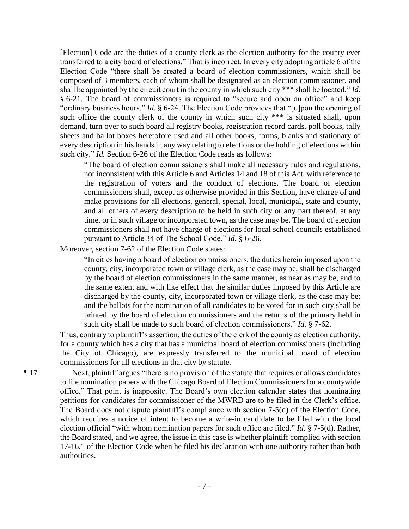[Election] Code are the duties of a county clerk as the election authority for the county ever transferred to a city board of elections." That is incorrect. In every city adopting article 6 of the Election Code "there shall be created a board of election commissioners, which shall be composed of 3 members, each of whom shall be designated as an election commissioner, and shall be appointed by the circuit court in the county in which such city \*\*\* shall be located." *Id.* § 6-21. The board of commissioners is required to "secure and open an office" and keep "ordinary business hours." *Id.* § 6-24. The Election Code provides that "[u]pon the opening of such office the county clerk of the county in which such city \*\*\* is situated shall, upon demand, turn over to such board all registry books, registration record cards, poll books, tally sheets and ballot boxes heretofore used and all other books, forms, blanks and stationary of every description in his hands in any way relating to elections or the holding of elections within such city." *Id.* Section 6-26 of the Election Code reads as follows:

"The board of election commissioners shall make all necessary rules and regulations, not inconsistent with this Article 6 and Articles 14 and 18 of this Act, with reference to the registration of voters and the conduct of elections. The board of election commissioners shall, except as otherwise provided in this Section, have charge of and make provisions for all elections, general, special, local, municipal, state and county, and all others of every description to be held in such city or any part thereof, at any time, or in such village or incorporated town, as the case may be. The board of election commissioners shall not have charge of elections for local school councils established pursuant to Article 34 of The School Code." *Id.* § 6-26.

Moreover, section 7-62 of the Election Code states:

"In cities having a board of election commissioners, the duties herein imposed upon the county, city, incorporated town or village clerk, as the case may be, shall be discharged by the board of election commissioners in the same manner, as near as may be, and to the same extent and with like effect that the similar duties imposed by this Article are discharged by the county, city, incorporated town or village clerk, as the case may be; and the ballots for the nomination of all candidates to be voted for in such city shall be printed by the board of election commissioners and the returns of the primary held in such city shall be made to such board of election commissioners." *Id.* § 7-62.

Thus, contrary to plaintiff's assertion, the duties of the clerk of the county as election authority, for a county which has a city that has a municipal board of election commissioners (including the City of Chicago), are expressly transferred to the municipal board of election commissioners for all elections in that city by statute.

¶ 17 Next, plaintiff argues "there is no provision of the statute that requires or allows candidates to file nomination papers with the Chicago Board of Election Commissioners for a countywide office." That point is inapposite. The Board's own election calendar states that nominating petitions for candidates for commissioner of the MWRD are to be filed in the Clerk's office. The Board does not dispute plaintiff's compliance with section 7-5(d) of the Election Code, which requires a notice of intent to become a write-in candidate to be filed with the local election official "with whom nomination papers for such office are filed." *Id.* § 7-5(d). Rather, the Board stated, and we agree, the issue in this case is whether plaintiff complied with section 17-16.1 of the Election Code when he filed his declaration with one authority rather than both authorities.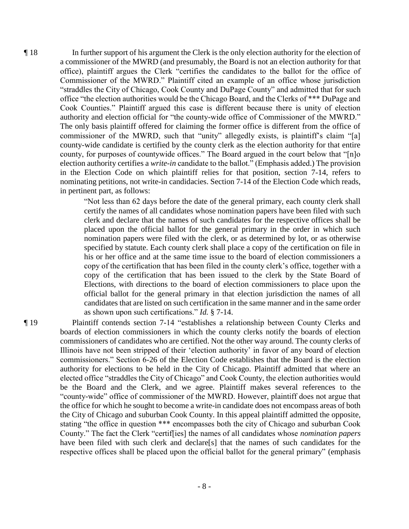¶ 18 In further support of his argument the Clerk is the only election authority for the election of a commissioner of the MWRD (and presumably, the Board is not an election authority for that office), plaintiff argues the Clerk "certifies the candidates to the ballot for the office of Commissioner of the MWRD." Plaintiff cited an example of an office whose jurisdiction "straddles the City of Chicago, Cook County and DuPage County" and admitted that for such office "the election authorities would be the Chicago Board, and the Clerks of \*\*\* DuPage and Cook Counties." Plaintiff argued this case is different because there is unity of election authority and election official for "the county-wide office of Commissioner of the MWRD." The only basis plaintiff offered for claiming the former office is different from the office of commissioner of the MWRD, such that "unity" allegedly exists, is plaintiff's claim "[a] county-wide candidate is certified by the county clerk as the election authority for that entire county, for purposes of countywide offices." The Board argued in the court below that "[n]o election authority certifies a *write-in* candidate to the ballot." (Emphasis added.) The provision in the Election Code on which plaintiff relies for that position, section 7-14, refers to nominating petitions, not write-in candidacies. Section 7-14 of the Election Code which reads, in pertinent part, as follows:

> "Not less than 62 days before the date of the general primary, each county clerk shall certify the names of all candidates whose nomination papers have been filed with such clerk and declare that the names of such candidates for the respective offices shall be placed upon the official ballot for the general primary in the order in which such nomination papers were filed with the clerk, or as determined by lot, or as otherwise specified by statute. Each county clerk shall place a copy of the certification on file in his or her office and at the same time issue to the board of election commissioners a copy of the certification that has been filed in the county clerk's office, together with a copy of the certification that has been issued to the clerk by the State Board of Elections, with directions to the board of election commissioners to place upon the official ballot for the general primary in that election jurisdiction the names of all candidates that are listed on such certification in the same manner and in the same order as shown upon such certifications." *Id.* § 7-14.

¶ 19 Plaintiff contends section 7-14 "establishes a relationship between County Clerks and boards of election commissioners in which the county clerks notify the boards of election commissioners of candidates who are certified. Not the other way around. The county clerks of Illinois have not been stripped of their 'election authority' in favor of any board of election commissioners." Section 6-26 of the Election Code establishes that the Board is the election authority for elections to be held in the City of Chicago. Plaintiff admitted that where an elected office "straddles the City of Chicago" and Cook County, the election authorities would be the Board and the Clerk, and we agree. Plaintiff makes several references to the "county-wide" office of commissioner of the MWRD. However, plaintiff does not argue that the office for which he sought to become a write-in candidate does not encompass areas of both the City of Chicago and suburban Cook County. In this appeal plaintiff admitted the opposite, stating "the office in question \*\*\* encompasses both the city of Chicago and suburban Cook County." The fact the Clerk "certif[ies] the names of all candidates whose *nomination papers* have been filed with such clerk and declare[s] that the names of such candidates for the respective offices shall be placed upon the official ballot for the general primary" (emphasis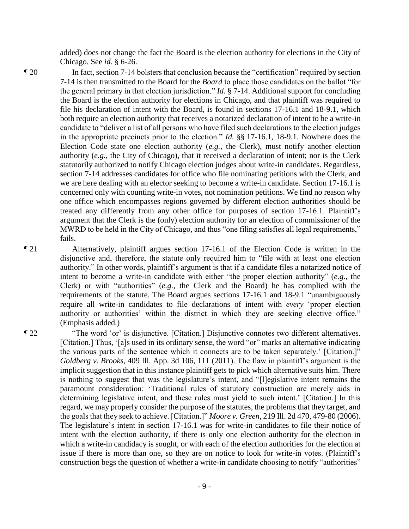added) does not change the fact the Board is the election authority for elections in the City of Chicago. See *id.* § 6-26.

- ¶ 20 In fact, section 7-14 bolsters that conclusion because the "certification" required by section 7-14 is then transmitted to the Board for the *Board* to place those candidates on the ballot "for the general primary in that election jurisdiction." *Id.* § 7-14. Additional support for concluding the Board is the election authority for elections in Chicago, and that plaintiff was required to file his declaration of intent with the Board, is found in sections 17-16.1 and 18-9.1, which both require an election authority that receives a notarized declaration of intent to be a write-in candidate to "deliver a list of all persons who have filed such declarations to the election judges in the appropriate precincts prior to the election." *Id.* §§ 17-16.1, 18-9.1. Nowhere does the Election Code state one election authority (*e.g.*, the Clerk), must notify another election authority (*e.g.*, the City of Chicago), that it received a declaration of intent; nor is the Clerk statutorily authorized to notify Chicago election judges about write-in candidates. Regardless, section 7-14 addresses candidates for office who file nominating petitions with the Clerk, and we are here dealing with an elector seeking to become a write-in candidate. Section 17-16.1 is concerned only with counting write-in votes, not nomination petitions. We find no reason why one office which encompasses regions governed by different election authorities should be treated any differently from any other office for purposes of section 17-16.1. Plaintiff's argument that the Clerk is the (only) election authority for an election of commissioner of the MWRD to be held in the City of Chicago, and thus "one filing satisfies all legal requirements," fails.
- ¶ 21 Alternatively, plaintiff argues section 17-16.1 of the Election Code is written in the disjunctive and, therefore, the statute only required him to "file with at least one election authority." In other words, plaintiff's argument is that if a candidate files a notarized notice of intent to become a write-in candidate with either "the proper election authority" (*e.g.*, the Clerk) or with "authorities" (*e.g.*, the Clerk and the Board) he has complied with the requirements of the statute. The Board argues sections 17-16.1 and 18-9.1 "unambiguously require all write-in candidates to file declarations of intent with *every* 'proper election authority or authorities' within the district in which they are seeking elective office." (Emphasis added.)
- ¶ 22 "The word 'or' is disjunctive. [Citation.] Disjunctive connotes two different alternatives. [Citation.] Thus, '[a]s used in its ordinary sense, the word "or" marks an alternative indicating the various parts of the sentence which it connects are to be taken separately.' [Citation.]" *Goldberg v. Brooks*, 409 Ill. App. 3d 106, 111 (2011). The flaw in plaintiff's argument is the implicit suggestion that in this instance plaintiff gets to pick which alternative suits him. There is nothing to suggest that was the legislature's intent, and "[l]egislative intent remains the paramount consideration: 'Traditional rules of statutory construction are merely aids in determining legislative intent, and these rules must yield to such intent.' [Citation.] In this regard, we may properly consider the purpose of the statutes, the problems that they target, and the goals that they seek to achieve. [Citation.]" *Moore v. Green*, 219 Ill. 2d 470, 479-80 (2006). The legislature's intent in section 17-16.1 was for write-in candidates to file their notice of intent with the election authority, if there is only one election authority for the election in which a write-in candidacy is sought, or with each of the election authorities for the election at issue if there is more than one, so they are on notice to look for write-in votes. (Plaintiff's construction begs the question of whether a write-in candidate choosing to notify "authorities"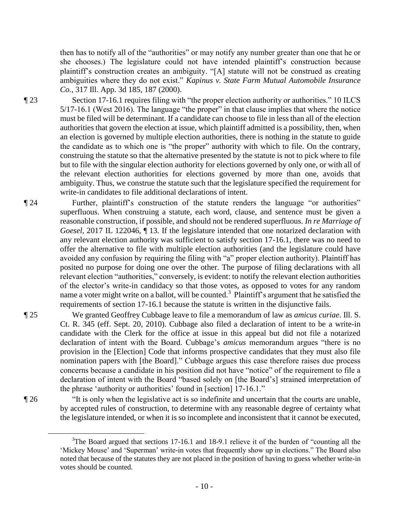then has to notify all of the "authorities" or may notify any number greater than one that he or she chooses.) The legislature could not have intended plaintiff's construction because plaintiff's construction creates an ambiguity. "[A] statute will not be construed as creating ambiguities where they do not exist." *Kapinus v. State Farm Mutual Automobile Insurance Co.*, 317 Ill. App. 3d 185, 187 (2000).

¶ 23 Section 17-16.1 requires filing with "the proper election authority or authorities." 10 ILCS 5/17-16.1 (West 2016). The language "the proper" in that clause implies that where the notice must be filed will be determinant. If a candidate can choose to file in less than all of the election authorities that govern the election at issue, which plaintiff admitted is a possibility, then, when an election is governed by multiple election authorities, there is nothing in the statute to guide

the candidate as to which one is "the proper" authority with which to file. On the contrary, construing the statute so that the alternative presented by the statute is not to pick where to file but to file with the singular election authority for elections governed by only one, or with all of the relevant election authorities for elections governed by more than one, avoids that ambiguity. Thus, we construe the statute such that the legislature specified the requirement for write-in candidates to file additional declarations of intent.

¶ 24 Further, plaintiff's construction of the statute renders the language "or authorities" superfluous. When construing a statute, each word, clause, and sentence must be given a reasonable construction, if possible, and should not be rendered superfluous. *In re Marriage of Goesel*, 2017 IL 122046, ¶ 13. If the legislature intended that one notarized declaration with any relevant election authority was sufficient to satisfy section 17-16.1, there was no need to offer the alternative to file with multiple election authorities (and the legislature could have avoided any confusion by requiring the filing with "a" proper election authority). Plaintiff has posited no purpose for doing one over the other. The purpose of filing declarations with all relevant election "authorities," conversely, is evident: to notify the relevant election authorities of the elector's write-in candidacy so that those votes, as opposed to votes for any random name a voter might write on a ballot, will be counted.<sup>3</sup> Plaintiff's argument that he satisfied the requirements of section 17-16.1 because the statute is written in the disjunctive fails.

¶ 25 We granted Geoffrey Cubbage leave to file a memorandum of law as *amicus curiae*. Ill. S. Ct. R. 345 (eff. Sept. 20, 2010). Cubbage also filed a declaration of intent to be a write-in candidate with the Clerk for the office at issue in this appeal but did not file a notarized declaration of intent with the Board. Cubbage's *amicus* memorandum argues "there is no provision in the [Election] Code that informs prospective candidates that they must also file nomination papers with [the Board]." Cubbage argues this case therefore raises due process concerns because a candidate in his position did not have "notice" of the requirement to file a declaration of intent with the Board "based solely on [the Board's] strained interpretation of the phrase 'authority or authorities' found in [section] 17-16.1."

 $\overline{a}$ 

¶ 26 "It is only when the legislative act is so indefinite and uncertain that the courts are unable, by accepted rules of construction, to determine with any reasonable degree of certainty what the legislature intended, or when it is so incomplete and inconsistent that it cannot be executed,

- 10 -

 $3$ The Board argued that sections 17-16.1 and 18-9.1 relieve it of the burden of "counting all the 'Mickey Mouse' and 'Superman' write-in votes that frequently show up in elections." The Board also noted that because of the statutes they are not placed in the position of having to guess whether write-in votes should be counted.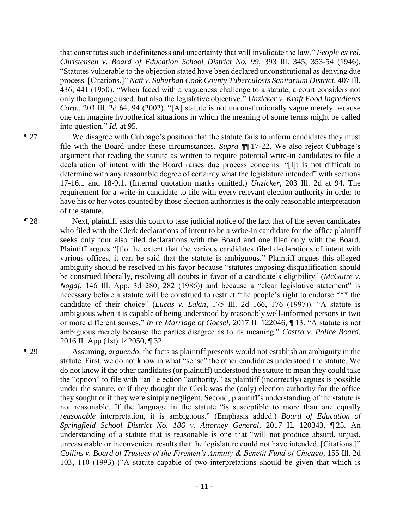that constitutes such indefiniteness and uncertainty that will invalidate the law." *People ex rel. Christensen v. Board of Education School District No. 99*, 393 Ill. 345, 353-54 (1946). "Statutes vulnerable to the objection stated have been declared unconstitutional as denying due process. [Citations.]" *Natt v. Suburban Cook County Tuberculosis Sanitarium District*, 407 Ill. 436, 441 (1950). "When faced with a vagueness challenge to a statute, a court considers not only the language used, but also the legislative objective." *Unzicker v. Kraft Food Ingredients Corp.*, 203 Ill. 2d 64, 94 (2002). "[A] statute is not unconstitutionally vague merely because one can imagine hypothetical situations in which the meaning of some terms might be called into question." *Id.* at 95.

¶ 27 We disagree with Cubbage's position that the statute fails to inform candidates they must file with the Board under these circumstances. *Supra* ¶¶ 17-22. We also reject Cubbage's argument that reading the statute as written to require potential write-in candidates to file a declaration of intent with the Board raises due process concerns. "[I]t is not difficult to determine with any reasonable degree of certainty what the legislature intended" with sections 17-16.1 and 18-9.1. (Internal quotation marks omitted.) *Unzicker*, 203 Ill. 2d at 94. The requirement for a write-in candidate to file with every relevant election authority in order to have his or her votes counted by those election authorities is the only reasonable interpretation of the statute.

¶ 28 Next, plaintiff asks this court to take judicial notice of the fact that of the seven candidates who filed with the Clerk declarations of intent to be a write-in candidate for the office plaintiff seeks only four also filed declarations with the Board and one filed only with the Board. Plaintiff argues "[t]o the extent that the various candidates filed declarations of intent with various offices, it can be said that the statute is ambiguous." Plaintiff argues this alleged ambiguity should be resolved in his favor because "statutes imposing disqualification should be construed liberally, resolving all doubts in favor of a candidate's eligibility" (*McGuire v. Nogaj*, 146 Ill. App. 3d 280, 282 (1986)) and because a "clear legislative statement" is necessary before a statute will be construed to restrict "the people's right to endorse \*\*\* the candidate of their choice" (*Lucas v. Lakin*, 175 Ill. 2d 166, 176 (1997)). "A statute is ambiguous when it is capable of being understood by reasonably well-informed persons in two or more different senses." *In re Marriage of Goesel*, 2017 IL 122046, ¶ 13. "A statute is not ambiguous merely because the parties disagree as to its meaning." *Castro v. Police Board*, 2016 IL App (1st) 142050, ¶ 32.

¶ 29 Assuming, *arguendo*, the facts as plaintiff presents would not establish an ambiguity in the statute. First, we do not know in what "sense" the other candidates understood the statute. We do not know if the other candidates (or plaintiff) understood the statute to mean they could take the "option" to file with "an" election "authority," as plaintiff (incorrectly) argues is possible under the statute, or if they thought the Clerk was the (only) election authority for the office they sought or if they were simply negligent. Second, plaintiff's understanding of the statute is not reasonable. If the language in the statute "is susceptible to more than one equally *reasonable* interpretation, it is ambiguous." (Emphasis added.) *Board of Education of Springfield School District No. 186 v. Attorney General*, 2017 IL 120343, ¶ 25. An understanding of a statute that is reasonable is one that "will not produce absurd, unjust, unreasonable or inconvenient results that the legislature could not have intended. [Citations.]" *Collins v. Board of Trustees of the Firemen's Annuity & Benefit Fund of Chicago*, 155 Ill. 2d 103, 110 (1993) ("A statute capable of two interpretations should be given that which is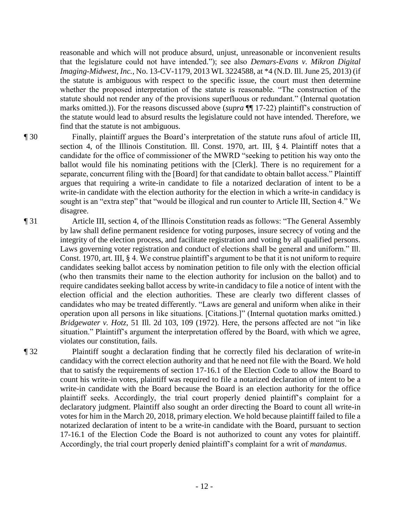reasonable and which will not produce absurd, unjust, unreasonable or inconvenient results that the legislature could not have intended."); see also *Demars-Evans v. Mikron Digital Imaging-Midwest, Inc.*, No. 13-CV-1179, 2013 WL 3224588, at \*4 (N.D. Ill. June 25, 2013) (if the statute is ambiguous with respect to the specific issue, the court must then determine whether the proposed interpretation of the statute is reasonable. "The construction of the statute should not render any of the provisions superfluous or redundant." (Internal quotation marks omitted.)). For the reasons discussed above (*supra* ¶¶ 17-22) plaintiff's construction of the statute would lead to absurd results the legislature could not have intended. Therefore, we find that the statute is not ambiguous.

- ¶ 30 Finally, plaintiff argues the Board's interpretation of the statute runs afoul of article III, section 4, of the Illinois Constitution. Ill. Const. 1970, art. III, § 4. Plaintiff notes that a candidate for the office of commissioner of the MWRD "seeking to petition his way onto the ballot would file his nominating petitions with the [Clerk]. There is no requirement for a separate, concurrent filing with the [Board] for that candidate to obtain ballot access." Plaintiff argues that requiring a write-in candidate to file a notarized declaration of intent to be a write-in candidate with the election authority for the election in which a write-in candidacy is sought is an "extra step" that "would be illogical and run counter to Article III, Section 4." We disagree.
- ¶ 31 Article III, section 4, of the Illinois Constitution reads as follows: "The General Assembly by law shall define permanent residence for voting purposes, insure secrecy of voting and the integrity of the election process, and facilitate registration and voting by all qualified persons. Laws governing voter registration and conduct of elections shall be general and uniform." Ill. Const. 1970, art. III, § 4. We construe plaintiff's argument to be that it is not uniform to require candidates seeking ballot access by nomination petition to file only with the election official (who then transmits their name to the election authority for inclusion on the ballot) and to require candidates seeking ballot access by write-in candidacy to file a notice of intent with the election official and the election authorities. These are clearly two different classes of candidates who may be treated differently. "Laws are general and uniform when alike in their operation upon all persons in like situations. [Citations.]" (Internal quotation marks omitted.) *Bridgewater v. Hotz*, 51 Ill. 2d 103, 109 (1972). Here, the persons affected are not "in like situation." Plaintiff's argument the interpretation offered by the Board, with which we agree, violates our constitution, fails.

¶ 32 Plaintiff sought a declaration finding that he correctly filed his declaration of write-in candidacy with the correct election authority and that he need not file with the Board. We hold that to satisfy the requirements of section 17-16.1 of the Election Code to allow the Board to count his write-in votes, plaintiff was required to file a notarized declaration of intent to be a write-in candidate with the Board because the Board is an election authority for the office plaintiff seeks. Accordingly, the trial court properly denied plaintiff's complaint for a declaratory judgment. Plaintiff also sought an order directing the Board to count all write-in votes for him in the March 20, 2018, primary election. We hold because plaintiff failed to file a notarized declaration of intent to be a write-in candidate with the Board, pursuant to section 17-16.1 of the Election Code the Board is not authorized to count any votes for plaintiff. Accordingly, the trial court properly denied plaintiff's complaint for a writ of *mandamus*.